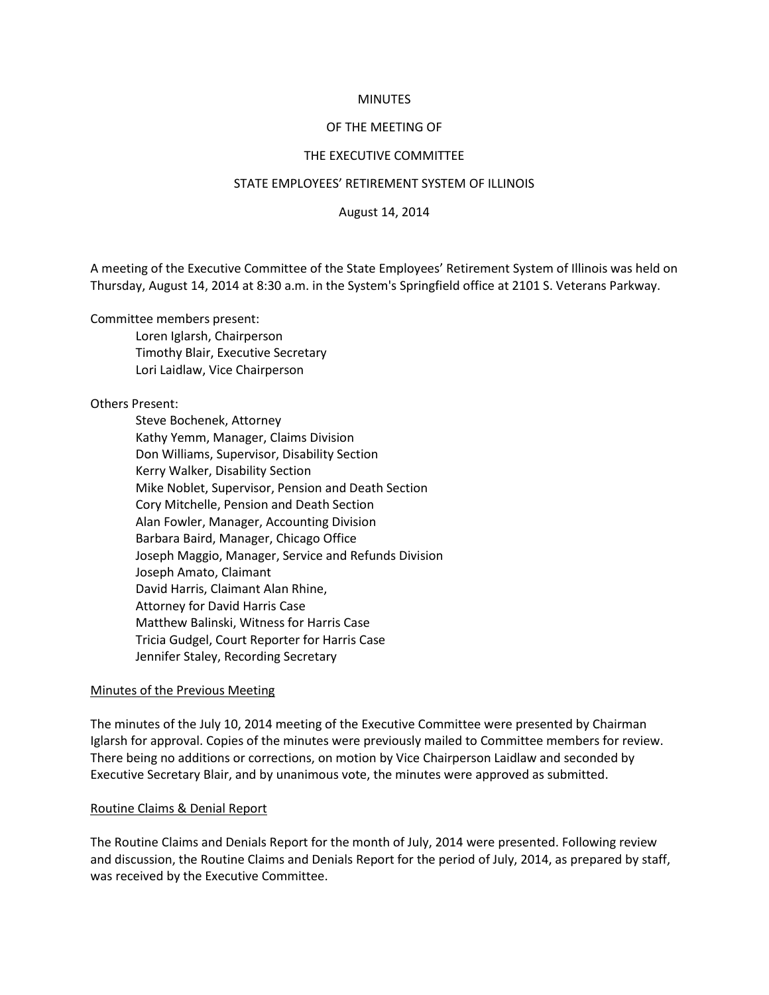## **MINUTES**

## OF THE MEETING OF

## THE EXECUTIVE COMMITTEE

### STATE EMPLOYEES' RETIREMENT SYSTEM OF ILLINOIS

August 14, 2014

A meeting of the Executive Committee of the State Employees' Retirement System of Illinois was held on Thursday, August 14, 2014 at 8:30 a.m. in the System's Springfield office at 2101 S. Veterans Parkway.

Committee members present:

Loren Iglarsh, Chairperson Timothy Blair, Executive Secretary Lori Laidlaw, Vice Chairperson

Others Present:

Steve Bochenek, Attorney Kathy Yemm, Manager, Claims Division Don Williams, Supervisor, Disability Section Kerry Walker, Disability Section Mike Noblet, Supervisor, Pension and Death Section Cory Mitchelle, Pension and Death Section Alan Fowler, Manager, Accounting Division Barbara Baird, Manager, Chicago Office Joseph Maggio, Manager, Service and Refunds Division Joseph Amato, Claimant David Harris, Claimant Alan Rhine, Attorney for David Harris Case Matthew Balinski, Witness for Harris Case Tricia Gudgel, Court Reporter for Harris Case Jennifer Staley, Recording Secretary

## Minutes of the Previous Meeting

The minutes of the July 10, 2014 meeting of the Executive Committee were presented by Chairman Iglarsh for approval. Copies of the minutes were previously mailed to Committee members for review. There being no additions or corrections, on motion by Vice Chairperson Laidlaw and seconded by Executive Secretary Blair, and by unanimous vote, the minutes were approved as submitted.

### Routine Claims & Denial Report

The Routine Claims and Denials Report for the month of July, 2014 were presented. Following review and discussion, the Routine Claims and Denials Report for the period of July, 2014, as prepared by staff, was received by the Executive Committee.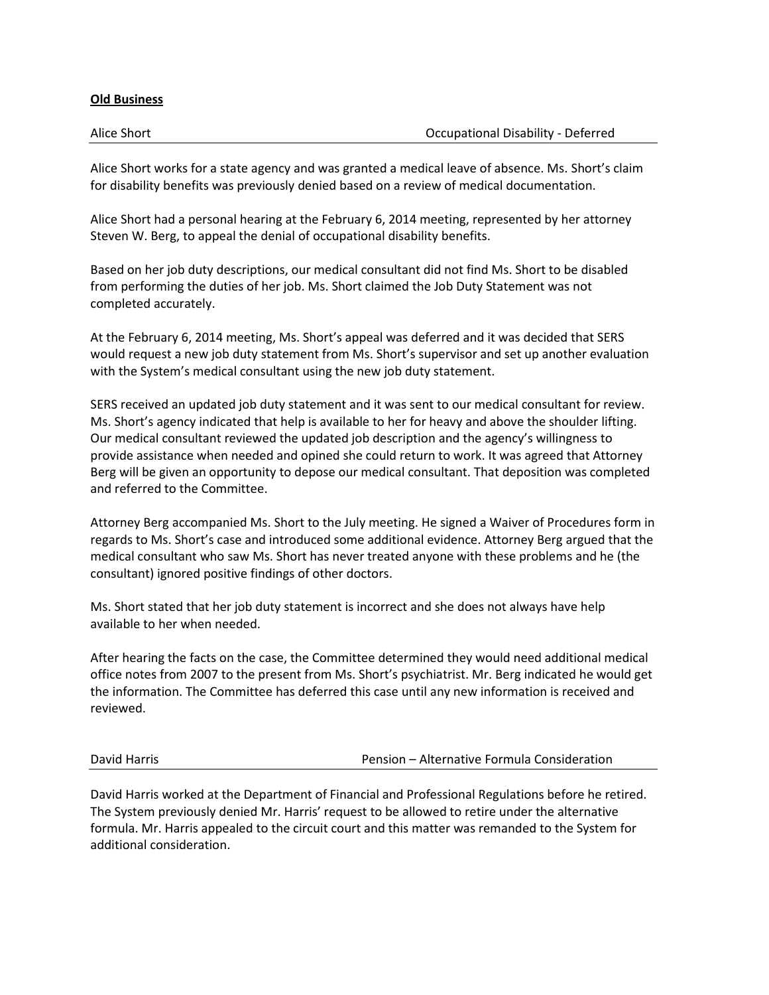## **Old Business**

| Alice Short | Occupational Disability - Deferred |
|-------------|------------------------------------|
|             |                                    |

Alice Short works for a state agency and was granted a medical leave of absence. Ms. Short's claim for disability benefits was previously denied based on a review of medical documentation.

Alice Short had a personal hearing at the February 6, 2014 meeting, represented by her attorney Steven W. Berg, to appeal the denial of occupational disability benefits.

Based on her job duty descriptions, our medical consultant did not find Ms. Short to be disabled from performing the duties of her job. Ms. Short claimed the Job Duty Statement was not completed accurately.

At the February 6, 2014 meeting, Ms. Short's appeal was deferred and it was decided that SERS would request a new job duty statement from Ms. Short's supervisor and set up another evaluation with the System's medical consultant using the new job duty statement.

SERS received an updated job duty statement and it was sent to our medical consultant for review. Ms. Short's agency indicated that help is available to her for heavy and above the shoulder lifting. Our medical consultant reviewed the updated job description and the agency's willingness to provide assistance when needed and opined she could return to work. It was agreed that Attorney Berg will be given an opportunity to depose our medical consultant. That deposition was completed and referred to the Committee.

Attorney Berg accompanied Ms. Short to the July meeting. He signed a Waiver of Procedures form in regards to Ms. Short's case and introduced some additional evidence. Attorney Berg argued that the medical consultant who saw Ms. Short has never treated anyone with these problems and he (the consultant) ignored positive findings of other doctors.

Ms. Short stated that her job duty statement is incorrect and she does not always have help available to her when needed.

After hearing the facts on the case, the Committee determined they would need additional medical office notes from 2007 to the present from Ms. Short's psychiatrist. Mr. Berg indicated he would get the information. The Committee has deferred this case until any new information is received and reviewed.

David Harris Pension – Alternative Formula Consideration

David Harris worked at the Department of Financial and Professional Regulations before he retired. The System previously denied Mr. Harris' request to be allowed to retire under the alternative formula. Mr. Harris appealed to the circuit court and this matter was remanded to the System for additional consideration.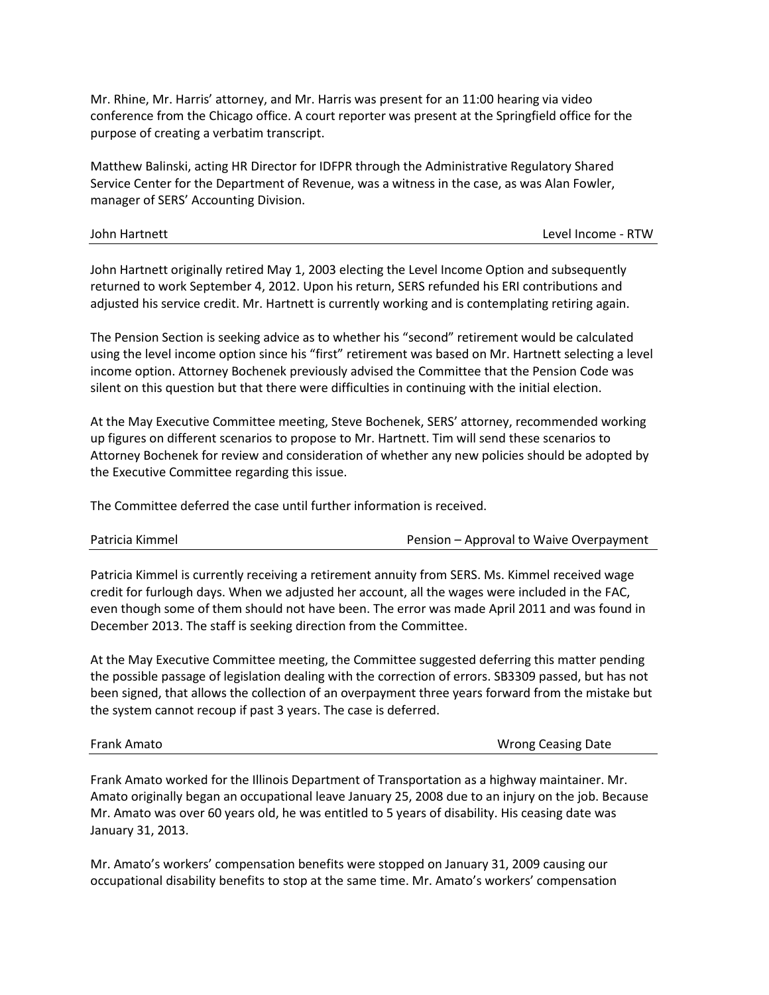Mr. Rhine, Mr. Harris' attorney, and Mr. Harris was present for an 11:00 hearing via video conference from the Chicago office. A court reporter was present at the Springfield office for the purpose of creating a verbatim transcript.

Matthew Balinski, acting HR Director for IDFPR through the Administrative Regulatory Shared Service Center for the Department of Revenue, was a witness in the case, as was Alan Fowler, manager of SERS' Accounting Division.

| John Hartnett | Level Income - RTW |
|---------------|--------------------|
|               |                    |

John Hartnett originally retired May 1, 2003 electing the Level Income Option and subsequently returned to work September 4, 2012. Upon his return, SERS refunded his ERI contributions and adjusted his service credit. Mr. Hartnett is currently working and is contemplating retiring again.

The Pension Section is seeking advice as to whether his "second" retirement would be calculated using the level income option since his "first" retirement was based on Mr. Hartnett selecting a level income option. Attorney Bochenek previously advised the Committee that the Pension Code was silent on this question but that there were difficulties in continuing with the initial election.

At the May Executive Committee meeting, Steve Bochenek, SERS' attorney, recommended working up figures on different scenarios to propose to Mr. Hartnett. Tim will send these scenarios to Attorney Bochenek for review and consideration of whether any new policies should be adopted by the Executive Committee regarding this issue.

The Committee deferred the case until further information is received.

Pension – Approval to Waive Overpayment

Patricia Kimmel is currently receiving a retirement annuity from SERS. Ms. Kimmel received wage credit for furlough days. When we adjusted her account, all the wages were included in the FAC, even though some of them should not have been. The error was made April 2011 and was found in December 2013. The staff is seeking direction from the Committee.

At the May Executive Committee meeting, the Committee suggested deferring this matter pending the possible passage of legislation dealing with the correction of errors. SB3309 passed, but has not been signed, that allows the collection of an overpayment three years forward from the mistake but the system cannot recoup if past 3 years. The case is deferred.

Frank Amato Wrong Ceasing Date

Frank Amato worked for the Illinois Department of Transportation as a highway maintainer. Mr. Amato originally began an occupational leave January 25, 2008 due to an injury on the job. Because Mr. Amato was over 60 years old, he was entitled to 5 years of disability. His ceasing date was January 31, 2013.

Mr. Amato's workers' compensation benefits were stopped on January 31, 2009 causing our occupational disability benefits to stop at the same time. Mr. Amato's workers' compensation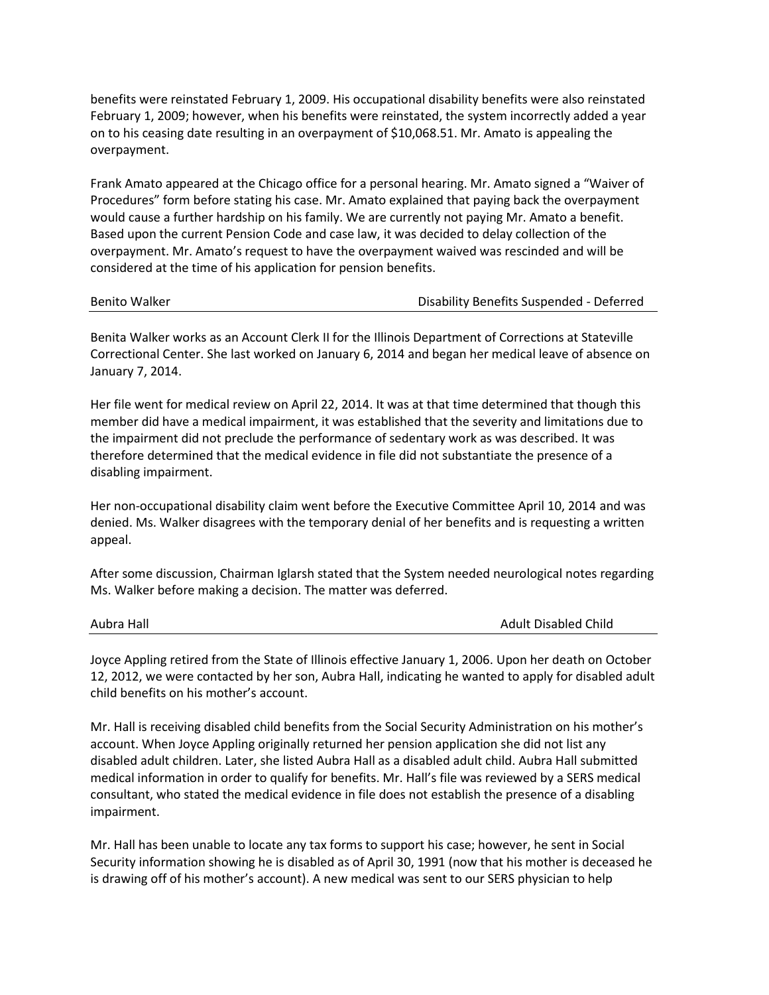benefits were reinstated February 1, 2009. His occupational disability benefits were also reinstated February 1, 2009; however, when his benefits were reinstated, the system incorrectly added a year on to his ceasing date resulting in an overpayment of \$10,068.51. Mr. Amato is appealing the overpayment.

Frank Amato appeared at the Chicago office for a personal hearing. Mr. Amato signed a "Waiver of Procedures" form before stating his case. Mr. Amato explained that paying back the overpayment would cause a further hardship on his family. We are currently not paying Mr. Amato a benefit. Based upon the current Pension Code and case law, it was decided to delay collection of the overpayment. Mr. Amato's request to have the overpayment waived was rescinded and will be considered at the time of his application for pension benefits.

| <b>Benito Walker</b> |
|----------------------|
|----------------------|

# Disability Benefits Suspended - Deferred

Benita Walker works as an Account Clerk II for the Illinois Department of Corrections at Stateville Correctional Center. She last worked on January 6, 2014 and began her medical leave of absence on January 7, 2014.

Her file went for medical review on April 22, 2014. It was at that time determined that though this member did have a medical impairment, it was established that the severity and limitations due to the impairment did not preclude the performance of sedentary work as was described. It was therefore determined that the medical evidence in file did not substantiate the presence of a disabling impairment.

Her non-occupational disability claim went before the Executive Committee April 10, 2014 and was denied. Ms. Walker disagrees with the temporary denial of her benefits and is requesting a written appeal.

After some discussion, Chairman Iglarsh stated that the System needed neurological notes regarding Ms. Walker before making a decision. The matter was deferred.

Aubra Hall Adult Disabled Child

Joyce Appling retired from the State of Illinois effective January 1, 2006. Upon her death on October 12, 2012, we were contacted by her son, Aubra Hall, indicating he wanted to apply for disabled adult child benefits on his mother's account.

Mr. Hall is receiving disabled child benefits from the Social Security Administration on his mother's account. When Joyce Appling originally returned her pension application she did not list any disabled adult children. Later, she listed Aubra Hall as a disabled adult child. Aubra Hall submitted medical information in order to qualify for benefits. Mr. Hall's file was reviewed by a SERS medical consultant, who stated the medical evidence in file does not establish the presence of a disabling impairment.

Mr. Hall has been unable to locate any tax forms to support his case; however, he sent in Social Security information showing he is disabled as of April 30, 1991 (now that his mother is deceased he is drawing off of his mother's account). A new medical was sent to our SERS physician to help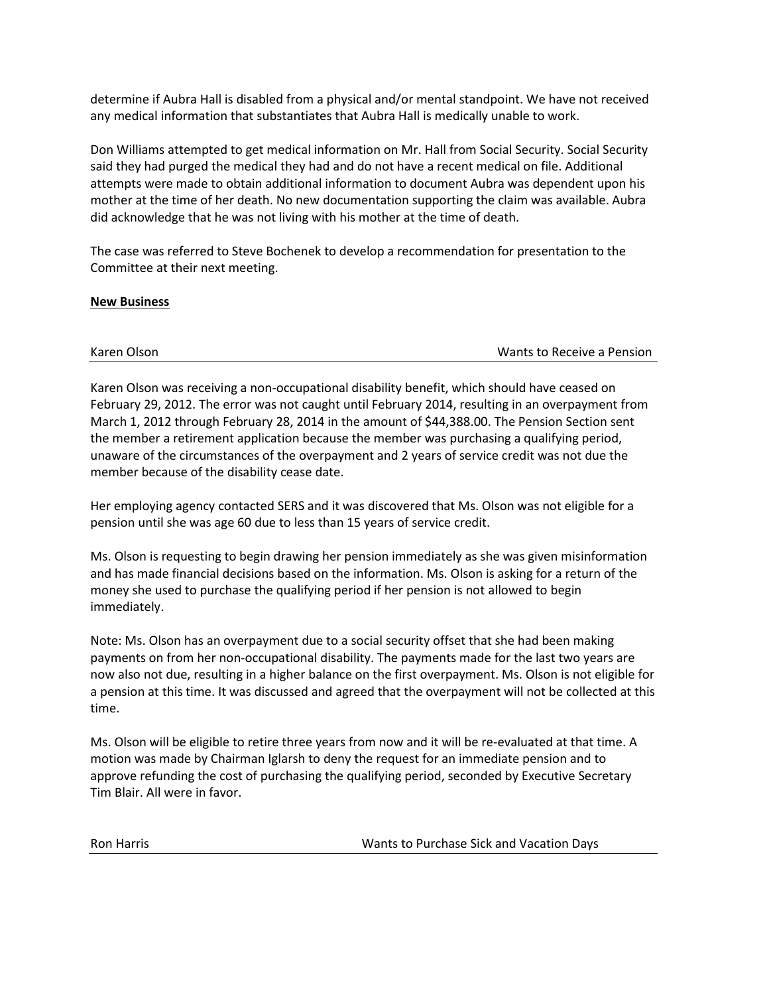determine if Aubra Hall is disabled from a physical and/or mental standpoint. We have not received any medical information that substantiates that Aubra Hall is medically unable to work.

Don Williams attempted to get medical information on Mr. Hall from Social Security. Social Security said they had purged the medical they had and do not have a recent medical on file. Additional attempts were made to obtain additional information to document Aubra was dependent upon his mother at the time of her death. No new documentation supporting the claim was available. Aubra did acknowledge that he was not living with his mother at the time of death.

The case was referred to Steve Bochenek to develop a recommendation for presentation to the Committee at their next meeting.

# **New Business**

Karen Olson Wants to Receive a Pension

Karen Olson was receiving a non-occupational disability benefit, which should have ceased on February 29, 2012. The error was not caught until February 2014, resulting in an overpayment from March 1, 2012 through February 28, 2014 in the amount of \$44,388.00. The Pension Section sent the member a retirement application because the member was purchasing a qualifying period, unaware of the circumstances of the overpayment and 2 years of service credit was not due the member because of the disability cease date.

Her employing agency contacted SERS and it was discovered that Ms. Olson was not eligible for a pension until she was age 60 due to less than 15 years of service credit.

Ms. Olson is requesting to begin drawing her pension immediately as she was given misinformation and has made financial decisions based on the information. Ms. Olson is asking for a return of the money she used to purchase the qualifying period if her pension is not allowed to begin immediately.

Note: Ms. Olson has an overpayment due to a social security offset that she had been making payments on from her non-occupational disability. The payments made for the last two years are now also not due, resulting in a higher balance on the first overpayment. Ms. Olson is not eligible for a pension at this time. It was discussed and agreed that the overpayment will not be collected at this time.

Ms. Olson will be eligible to retire three years from now and it will be re-evaluated at that time. A motion was made by Chairman Iglarsh to deny the request for an immediate pension and to approve refunding the cost of purchasing the qualifying period, seconded by Executive Secretary Tim Blair. All were in favor.

Ron Harris Wants to Purchase Sick and Vacation Days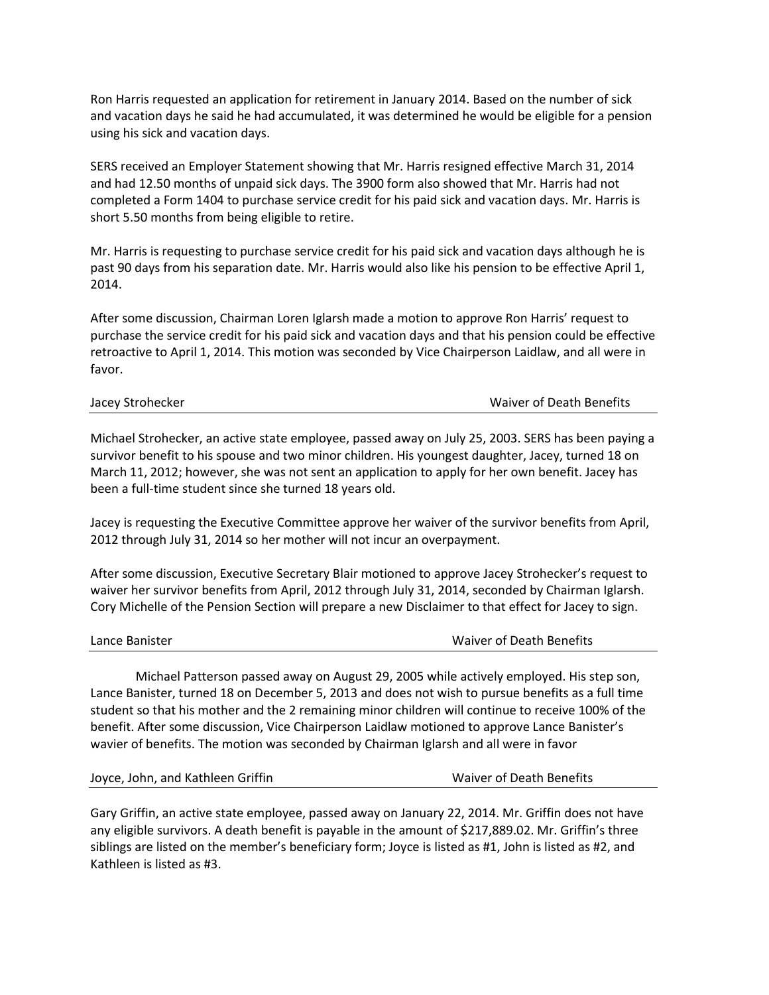Ron Harris requested an application for retirement in January 2014. Based on the number of sick and vacation days he said he had accumulated, it was determined he would be eligible for a pension using his sick and vacation days.

SERS received an Employer Statement showing that Mr. Harris resigned effective March 31, 2014 and had 12.50 months of unpaid sick days. The 3900 form also showed that Mr. Harris had not completed a Form 1404 to purchase service credit for his paid sick and vacation days. Mr. Harris is short 5.50 months from being eligible to retire.

Mr. Harris is requesting to purchase service credit for his paid sick and vacation days although he is past 90 days from his separation date. Mr. Harris would also like his pension to be effective April 1, 2014.

After some discussion, Chairman Loren Iglarsh made a motion to approve Ron Harris' request to purchase the service credit for his paid sick and vacation days and that his pension could be effective retroactive to April 1, 2014. This motion was seconded by Vice Chairperson Laidlaw, and all were in favor.

| Jacey Strohecker | Waiver of Death Benefits |
|------------------|--------------------------|
|------------------|--------------------------|

Michael Strohecker, an active state employee, passed away on July 25, 2003. SERS has been paying a survivor benefit to his spouse and two minor children. His youngest daughter, Jacey, turned 18 on March 11, 2012; however, she was not sent an application to apply for her own benefit. Jacey has been a full-time student since she turned 18 years old.

Jacey is requesting the Executive Committee approve her waiver of the survivor benefits from April, 2012 through July 31, 2014 so her mother will not incur an overpayment.

After some discussion, Executive Secretary Blair motioned to approve Jacey Strohecker's request to waiver her survivor benefits from April, 2012 through July 31, 2014, seconded by Chairman Iglarsh. Cory Michelle of the Pension Section will prepare a new Disclaimer to that effect for Jacey to sign.

| Waiver of Death Benefits |
|--------------------------|
|                          |

Michael Patterson passed away on August 29, 2005 while actively employed. His step son, Lance Banister, turned 18 on December 5, 2013 and does not wish to pursue benefits as a full time student so that his mother and the 2 remaining minor children will continue to receive 100% of the benefit. After some discussion, Vice Chairperson Laidlaw motioned to approve Lance Banister's wavier of benefits. The motion was seconded by Chairman Iglarsh and all were in favor

|  | Joyce, John, and Kathleen Griffin |  |  |  |  |
|--|-----------------------------------|--|--|--|--|
|--|-----------------------------------|--|--|--|--|

Waiver of Death Benefits

Gary Griffin, an active state employee, passed away on January 22, 2014. Mr. Griffin does not have any eligible survivors. A death benefit is payable in the amount of \$217,889.02. Mr. Griffin's three siblings are listed on the member's beneficiary form; Joyce is listed as #1, John is listed as #2, and Kathleen is listed as #3.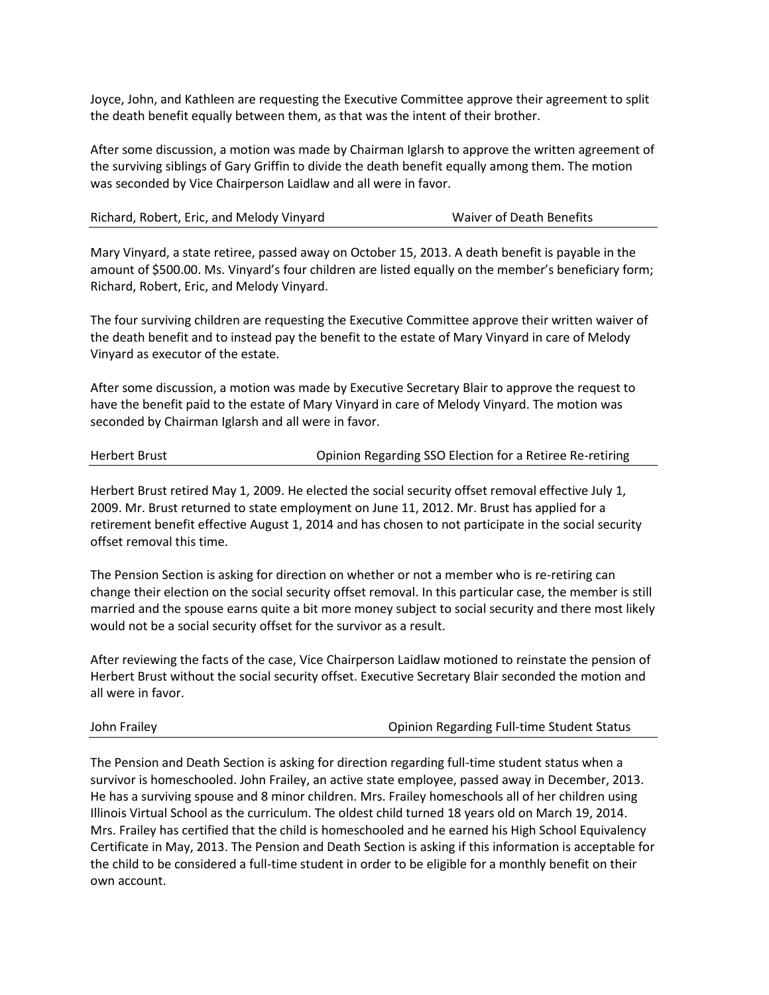Joyce, John, and Kathleen are requesting the Executive Committee approve their agreement to split the death benefit equally between them, as that was the intent of their brother.

After some discussion, a motion was made by Chairman Iglarsh to approve the written agreement of the surviving siblings of Gary Griffin to divide the death benefit equally among them. The motion was seconded by Vice Chairperson Laidlaw and all were in favor.

| Richard, Robert, Eric, and Melody Vinyard | Waiver of Death Benefits |
|-------------------------------------------|--------------------------|
|-------------------------------------------|--------------------------|

Mary Vinyard, a state retiree, passed away on October 15, 2013. A death benefit is payable in the amount of \$500.00. Ms. Vinyard's four children are listed equally on the member's beneficiary form; Richard, Robert, Eric, and Melody Vinyard.

The four surviving children are requesting the Executive Committee approve their written waiver of the death benefit and to instead pay the benefit to the estate of Mary Vinyard in care of Melody Vinyard as executor of the estate.

After some discussion, a motion was made by Executive Secretary Blair to approve the request to have the benefit paid to the estate of Mary Vinyard in care of Melody Vinyard. The motion was seconded by Chairman Iglarsh and all were in favor.

| Herbert Brust | Opinion Regarding SSO Election for a Retiree Re-retiring |
|---------------|----------------------------------------------------------|
|---------------|----------------------------------------------------------|

Herbert Brust retired May 1, 2009. He elected the social security offset removal effective July 1, 2009. Mr. Brust returned to state employment on June 11, 2012. Mr. Brust has applied for a retirement benefit effective August 1, 2014 and has chosen to not participate in the social security offset removal this time.

The Pension Section is asking for direction on whether or not a member who is re-retiring can change their election on the social security offset removal. In this particular case, the member is still married and the spouse earns quite a bit more money subject to social security and there most likely would not be a social security offset for the survivor as a result.

After reviewing the facts of the case, Vice Chairperson Laidlaw motioned to reinstate the pension of Herbert Brust without the social security offset. Executive Secretary Blair seconded the motion and all were in favor.

| John Frailey | <b>Opinion Regarding Full-time Student Status</b> |
|--------------|---------------------------------------------------|
|              |                                                   |

The Pension and Death Section is asking for direction regarding full-time student status when a survivor is homeschooled. John Frailey, an active state employee, passed away in December, 2013. He has a surviving spouse and 8 minor children. Mrs. Frailey homeschools all of her children using Illinois Virtual School as the curriculum. The oldest child turned 18 years old on March 19, 2014. Mrs. Frailey has certified that the child is homeschooled and he earned his High School Equivalency Certificate in May, 2013. The Pension and Death Section is asking if this information is acceptable for the child to be considered a full-time student in order to be eligible for a monthly benefit on their own account.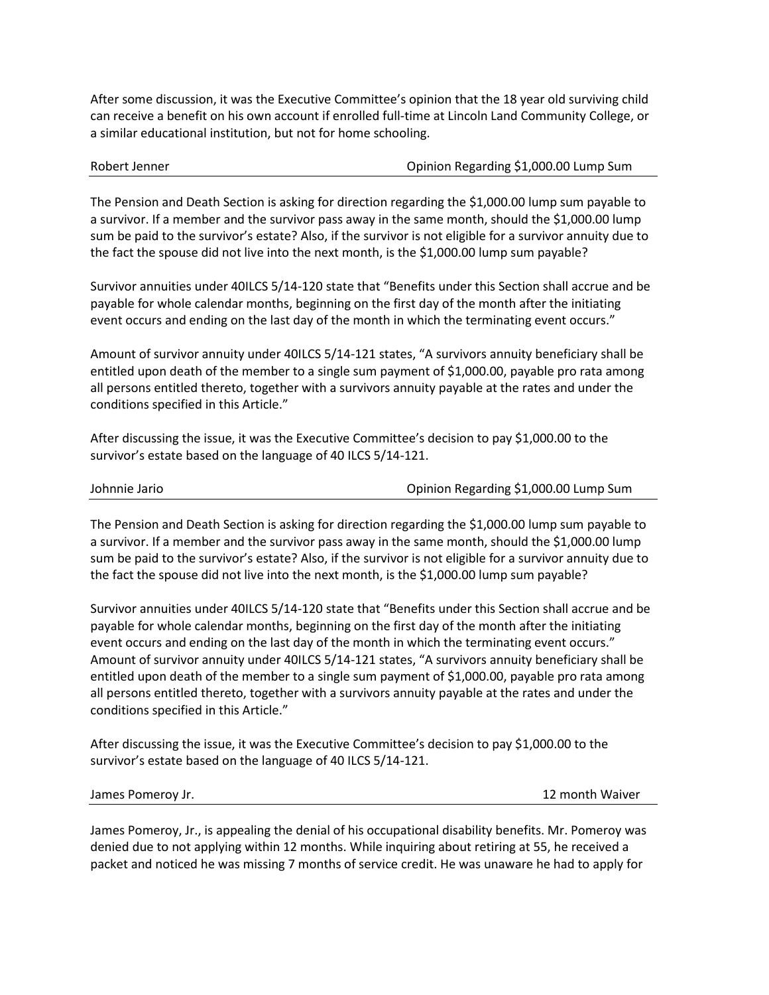After some discussion, it was the Executive Committee's opinion that the 18 year old surviving child can receive a benefit on his own account if enrolled full-time at Lincoln Land Community College, or a similar educational institution, but not for home schooling.

Robert Jenner **Network** Communication Regarding \$1,000.00 Lump Sum

The Pension and Death Section is asking for direction regarding the \$1,000.00 lump sum payable to a survivor. If a member and the survivor pass away in the same month, should the \$1,000.00 lump sum be paid to the survivor's estate? Also, if the survivor is not eligible for a survivor annuity due to the fact the spouse did not live into the next month, is the \$1,000.00 lump sum payable?

Survivor annuities under 40ILCS 5/14-120 state that "Benefits under this Section shall accrue and be payable for whole calendar months, beginning on the first day of the month after the initiating event occurs and ending on the last day of the month in which the terminating event occurs."

Amount of survivor annuity under 40ILCS 5/14-121 states, "A survivors annuity beneficiary shall be entitled upon death of the member to a single sum payment of \$1,000.00, payable pro rata among all persons entitled thereto, together with a survivors annuity payable at the rates and under the conditions specified in this Article."

After discussing the issue, it was the Executive Committee's decision to pay \$1,000.00 to the survivor's estate based on the language of 40 ILCS 5/14-121.

|  | Johnnie Jario |
|--|---------------|
|  |               |

Opinion Regarding \$1,000.00 Lump Sum

The Pension and Death Section is asking for direction regarding the \$1,000.00 lump sum payable to a survivor. If a member and the survivor pass away in the same month, should the \$1,000.00 lump sum be paid to the survivor's estate? Also, if the survivor is not eligible for a survivor annuity due to the fact the spouse did not live into the next month, is the \$1,000.00 lump sum payable?

Survivor annuities under 40ILCS 5/14-120 state that "Benefits under this Section shall accrue and be payable for whole calendar months, beginning on the first day of the month after the initiating event occurs and ending on the last day of the month in which the terminating event occurs." Amount of survivor annuity under 40ILCS 5/14-121 states, "A survivors annuity beneficiary shall be entitled upon death of the member to a single sum payment of \$1,000.00, payable pro rata among all persons entitled thereto, together with a survivors annuity payable at the rates and under the conditions specified in this Article."

After discussing the issue, it was the Executive Committee's decision to pay \$1,000.00 to the survivor's estate based on the language of 40 ILCS 5/14-121.

James Pomeroy Jr. 12 month Waiver

James Pomeroy, Jr., is appealing the denial of his occupational disability benefits. Mr. Pomeroy was denied due to not applying within 12 months. While inquiring about retiring at 55, he received a packet and noticed he was missing 7 months of service credit. He was unaware he had to apply for